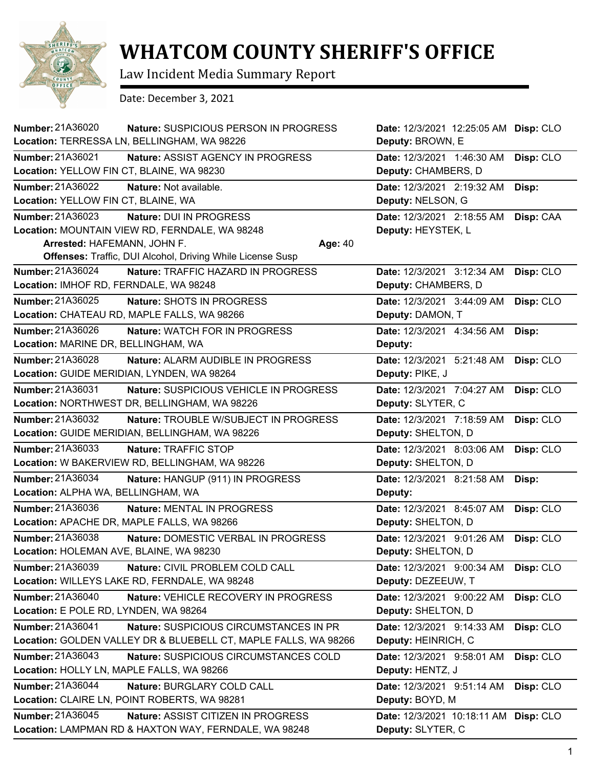

## **WHATCOM COUNTY SHERIFF'S OFFICE**

Law Incident Media Summary Report

Date: December 3, 2021

| <b>Number: 21A36020</b><br>Nature: SUSPICIOUS PERSON IN PROGRESS<br>Location: TERRESSA LN, BELLINGHAM, WA 98226                                                | Date: 12/3/2021 12:25:05 AM Disp: CLO<br>Deputy: BROWN, E      |
|----------------------------------------------------------------------------------------------------------------------------------------------------------------|----------------------------------------------------------------|
| Number: 21A36021                                                                                                                                               | Date: 12/3/2021 1:46:30 AM                                     |
| Nature: ASSIST AGENCY IN PROGRESS                                                                                                                              | Disp: CLO                                                      |
| Location: YELLOW FIN CT, BLAINE, WA 98230                                                                                                                      | Deputy: CHAMBERS, D                                            |
| Number: 21A36022                                                                                                                                               | Date: 12/3/2021 2:19:32 AM                                     |
| Nature: Not available.                                                                                                                                         | Disp:                                                          |
| Location: YELLOW FIN CT, BLAINE, WA                                                                                                                            | Deputy: NELSON, G                                              |
| Number: 21A36023<br>Nature: DUI IN PROGRESS<br>Location: MOUNTAIN VIEW RD, FERNDALE, WA 98248<br>Arrested: HAFEMANN, JOHN F.<br>Age: 40                        | Date: 12/3/2021 2:18:55 AM<br>Disp: CAA<br>Deputy: HEYSTEK, L  |
| Offenses: Traffic, DUI Alcohol, Driving While License Susp<br>Number: 21A36024<br>Nature: TRAFFIC HAZARD IN PROGRESS<br>Location: IMHOF RD, FERNDALE, WA 98248 | Disp: CLO<br>Date: 12/3/2021 3:12:34 AM<br>Deputy: CHAMBERS, D |
| Number: 21A36025                                                                                                                                               | Date: 12/3/2021 3:44:09 AM                                     |
| Nature: SHOTS IN PROGRESS                                                                                                                                      | Disp: CLO                                                      |
| Location: CHATEAU RD, MAPLE FALLS, WA 98266                                                                                                                    | Deputy: DAMON, T                                               |
| <b>Number: 21A36026</b>                                                                                                                                        | Date: 12/3/2021 4:34:56 AM                                     |
| Nature: WATCH FOR IN PROGRESS                                                                                                                                  | Disp:                                                          |
| Location: MARINE DR, BELLINGHAM, WA                                                                                                                            | Deputy:                                                        |
| Number: 21A36028                                                                                                                                               | Date: 12/3/2021 5:21:48 AM                                     |
| Nature: ALARM AUDIBLE IN PROGRESS                                                                                                                              | Disp: CLO                                                      |
| Location: GUIDE MERIDIAN, LYNDEN, WA 98264                                                                                                                     | Deputy: PIKE, J                                                |
| Number: 21A36031                                                                                                                                               | Date: 12/3/2021 7:04:27 AM                                     |
| Nature: SUSPICIOUS VEHICLE IN PROGRESS                                                                                                                         | Disp: CLO                                                      |
| Location: NORTHWEST DR, BELLINGHAM, WA 98226                                                                                                                   | Deputy: SLYTER, C                                              |
| Number: 21A36032                                                                                                                                               | Date: 12/3/2021 7:18:59 AM                                     |
| Nature: TROUBLE W/SUBJECT IN PROGRESS                                                                                                                          | Disp: CLO                                                      |
| Location: GUIDE MERIDIAN, BELLINGHAM, WA 98226                                                                                                                 | Deputy: SHELTON, D                                             |
| Number: 21A36033                                                                                                                                               | Date: 12/3/2021 8:03:06 AM                                     |
| Nature: TRAFFIC STOP                                                                                                                                           | Disp: CLO                                                      |
| Location: W BAKERVIEW RD, BELLINGHAM, WA 98226                                                                                                                 | Deputy: SHELTON, D                                             |
| Number: 21A36034                                                                                                                                               | Date: 12/3/2021 8:21:58 AM                                     |
| Nature: HANGUP (911) IN PROGRESS                                                                                                                               | Disp:                                                          |
| Location: ALPHA WA, BELLINGHAM, WA                                                                                                                             | Deputy:                                                        |
| Number: 21A36036                                                                                                                                               | Date: 12/3/2021 8:45:07 AM                                     |
| <b>Nature: MENTAL IN PROGRESS</b>                                                                                                                              | Disp: CLO                                                      |
| Location: APACHE DR, MAPLE FALLS, WA 98266                                                                                                                     | Deputy: SHELTON, D                                             |
| Number: 21A36038                                                                                                                                               | Date: 12/3/2021 9:01:26 AM                                     |
| Nature: DOMESTIC VERBAL IN PROGRESS                                                                                                                            | Disp: CLO                                                      |
| Location: HOLEMAN AVE, BLAINE, WA 98230                                                                                                                        | Deputy: SHELTON, D                                             |
| Number: 21A36039                                                                                                                                               | Date: 12/3/2021 9:00:34 AM                                     |
| Nature: CIVIL PROBLEM COLD CALL                                                                                                                                | Disp: CLO                                                      |
| Location: WILLEYS LAKE RD, FERNDALE, WA 98248                                                                                                                  | Deputy: DEZEEUW, T                                             |
| Number: 21A36040                                                                                                                                               | Disp: CLO                                                      |
| Nature: VEHICLE RECOVERY IN PROGRESS                                                                                                                           | Date: 12/3/2021 9:00:22 AM                                     |
| Location: E POLE RD, LYNDEN, WA 98264                                                                                                                          | Deputy: SHELTON, D                                             |
| Number: 21A36041                                                                                                                                               | Date: 12/3/2021 9:14:33 AM                                     |
| Nature: SUSPICIOUS CIRCUMSTANCES IN PR                                                                                                                         | Disp: CLO                                                      |
| Location: GOLDEN VALLEY DR & BLUEBELL CT, MAPLE FALLS, WA 98266                                                                                                | Deputy: HEINRICH, C                                            |
| Number: 21A36043                                                                                                                                               | Disp: CLO                                                      |
| Nature: SUSPICIOUS CIRCUMSTANCES COLD                                                                                                                          | Date: 12/3/2021 9:58:01 AM                                     |
| Location: HOLLY LN, MAPLE FALLS, WA 98266                                                                                                                      | Deputy: HENTZ, J                                               |
| Number: 21A36044                                                                                                                                               | Date: 12/3/2021 9:51:14 AM                                     |
| Nature: BURGLARY COLD CALL                                                                                                                                     | Disp: CLO                                                      |
| Location: CLAIRE LN, POINT ROBERTS, WA 98281                                                                                                                   | Deputy: BOYD, M                                                |
| Number: 21A36045<br>Nature: ASSIST CITIZEN IN PROGRESS<br>Location: LAMPMAN RD & HAXTON WAY, FERNDALE, WA 98248                                                | Date: 12/3/2021 10:18:11 AM Disp: CLO<br>Deputy: SLYTER, C     |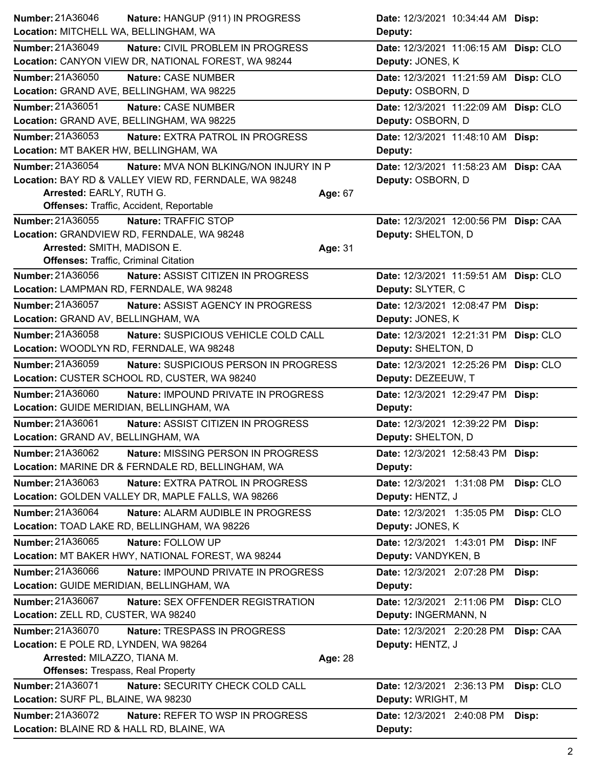| Number: 21A36046                            | Nature: HANGUP (911) IN PROGRESS                      |         | Date: 12/3/2021 10:34:44 AM Disp:     |           |
|---------------------------------------------|-------------------------------------------------------|---------|---------------------------------------|-----------|
| Location: MITCHELL WA, BELLINGHAM, WA       |                                                       |         | Deputy:                               |           |
| <b>Number: 21A36049</b>                     | Nature: CIVIL PROBLEM IN PROGRESS                     |         | Date: 12/3/2021 11:06:15 AM Disp: CLO |           |
|                                             | Location: CANYON VIEW DR, NATIONAL FOREST, WA 98244   |         | Deputy: JONES, K                      |           |
| <b>Number: 21A36050</b>                     | Nature: CASE NUMBER                                   |         | Date: 12/3/2021 11:21:59 AM Disp: CLO |           |
| Location: GRAND AVE, BELLINGHAM, WA 98225   |                                                       |         | Deputy: OSBORN, D                     |           |
| <b>Number: 21A36051</b>                     | Nature: CASE NUMBER                                   |         | Date: 12/3/2021 11:22:09 AM Disp: CLO |           |
| Location: GRAND AVE, BELLINGHAM, WA 98225   |                                                       |         | Deputy: OSBORN, D                     |           |
| Number: 21A36053                            | <b>Nature: EXTRA PATROL IN PROGRESS</b>               |         | Date: 12/3/2021 11:48:10 AM Disp:     |           |
| Location: MT BAKER HW, BELLINGHAM, WA       |                                                       |         | Deputy:                               |           |
| Number: 21A36054                            | Nature: MVA NON BLKING/NON INJURY IN P                |         | Date: 12/3/2021 11:58:23 AM Disp: CAA |           |
|                                             | Location: BAY RD & VALLEY VIEW RD, FERNDALE, WA 98248 |         | Deputy: OSBORN, D                     |           |
| Arrested: EARLY, RUTH G.                    |                                                       | Age: 67 |                                       |           |
|                                             | Offenses: Traffic, Accident, Reportable               |         |                                       |           |
| <b>Number: 21A36055</b>                     | Nature: TRAFFIC STOP                                  |         | Date: 12/3/2021 12:00:56 PM Disp: CAA |           |
|                                             | Location: GRANDVIEW RD, FERNDALE, WA 98248            |         | Deputy: SHELTON, D                    |           |
| Arrested: SMITH, MADISON E.                 |                                                       | Age: 31 |                                       |           |
| <b>Offenses: Traffic, Criminal Citation</b> |                                                       |         |                                       |           |
| Number: 21A36056                            | Nature: ASSIST CITIZEN IN PROGRESS                    |         | Date: 12/3/2021 11:59:51 AM Disp: CLO |           |
| Location: LAMPMAN RD, FERNDALE, WA 98248    |                                                       |         | Deputy: SLYTER, C                     |           |
| Number: 21A36057                            | Nature: ASSIST AGENCY IN PROGRESS                     |         | Date: 12/3/2021 12:08:47 PM Disp:     |           |
| Location: GRAND AV, BELLINGHAM, WA          |                                                       |         | Deputy: JONES, K                      |           |
| Number: 21A36058                            | Nature: SUSPICIOUS VEHICLE COLD CALL                  |         | Date: 12/3/2021 12:21:31 PM Disp: CLO |           |
| Location: WOODLYN RD, FERNDALE, WA 98248    |                                                       |         | Deputy: SHELTON, D                    |           |
| Number: 21A36059                            | Nature: SUSPICIOUS PERSON IN PROGRESS                 |         | Date: 12/3/2021 12:25:26 PM Disp: CLO |           |
|                                             | Location: CUSTER SCHOOL RD, CUSTER, WA 98240          |         | Deputy: DEZEEUW, T                    |           |
| Number: 21A36060                            | <b>Nature: IMPOUND PRIVATE IN PROGRESS</b>            |         | Date: 12/3/2021 12:29:47 PM Disp:     |           |
| Location: GUIDE MERIDIAN, BELLINGHAM, WA    |                                                       |         | Deputy:                               |           |
| Number: 21A36061                            | Nature: ASSIST CITIZEN IN PROGRESS                    |         | Date: 12/3/2021 12:39:22 PM Disp:     |           |
| Location: GRAND AV, BELLINGHAM, WA          |                                                       |         | Deputy: SHELTON, D                    |           |
| Number: 21A36062                            | Nature: MISSING PERSON IN PROGRESS                    |         | Date: 12/3/2021 12:58:43 PM Disp:     |           |
|                                             | Location: MARINE DR & FERNDALE RD, BELLINGHAM, WA     |         | Deputy:                               |           |
| Number: 21A36063                            | Nature: EXTRA PATROL IN PROGRESS                      |         | Date: 12/3/2021 1:31:08 PM            | Disp: CLO |
|                                             | Location: GOLDEN VALLEY DR, MAPLE FALLS, WA 98266     |         | Deputy: HENTZ, J                      |           |
| Number: 21A36064                            | Nature: ALARM AUDIBLE IN PROGRESS                     |         | Date: 12/3/2021 1:35:05 PM            | Disp: CLO |
|                                             | Location: TOAD LAKE RD, BELLINGHAM, WA 98226          |         | Deputy: JONES, K                      |           |
| Number: 21A36065                            | Nature: FOLLOW UP                                     |         | Date: 12/3/2021 1:43:01 PM            | Disp: INF |
|                                             | Location: MT BAKER HWY, NATIONAL FOREST, WA 98244     |         | Deputy: VANDYKEN, B                   |           |
| Number: 21A36066                            | Nature: IMPOUND PRIVATE IN PROGRESS                   |         | Date: 12/3/2021 2:07:28 PM            | Disp:     |
| Location: GUIDE MERIDIAN, BELLINGHAM, WA    |                                                       |         | Deputy:                               |           |
| Number: 21A36067                            | Nature: SEX OFFENDER REGISTRATION                     |         | Date: 12/3/2021 2:11:06 PM            | Disp: CLO |
| Location: ZELL RD, CUSTER, WA 98240         |                                                       |         | Deputy: INGERMANN, N                  |           |
| Number: 21A36070                            | Nature: TRESPASS IN PROGRESS                          |         | Date: 12/3/2021 2:20:28 PM            | Disp: CAA |
| Location: E POLE RD, LYNDEN, WA 98264       |                                                       |         | Deputy: HENTZ, J                      |           |
| Arrested: MILAZZO, TIANA M.                 |                                                       | Age: 28 |                                       |           |
| <b>Offenses: Trespass, Real Property</b>    |                                                       |         |                                       |           |
| Number: 21A36071                            | Nature: SECURITY CHECK COLD CALL                      |         | Date: 12/3/2021 2:36:13 PM            | Disp: CLO |
| Location: SURF PL, BLAINE, WA 98230         |                                                       |         | Deputy: WRIGHT, M                     |           |
| Number: 21A36072                            | Nature: REFER TO WSP IN PROGRESS                      |         | Date: 12/3/2021 2:40:08 PM            | Disp:     |
| Location: BLAINE RD & HALL RD, BLAINE, WA   |                                                       |         | Deputy:                               |           |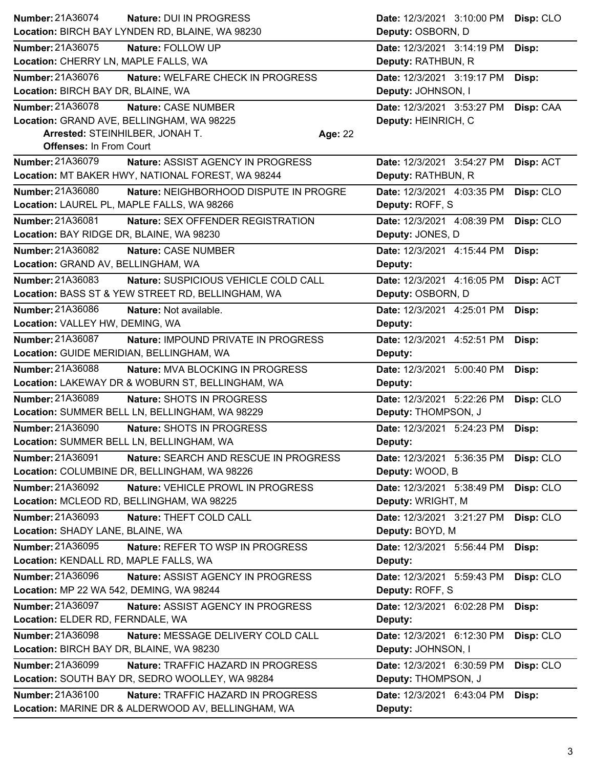| Number: 21A36074                           | Nature: DUI IN PROGRESS                            |         | Date: 12/3/2021 3:10:00 PM | Disp: CLO |
|--------------------------------------------|----------------------------------------------------|---------|----------------------------|-----------|
|                                            | Location: BIRCH BAY LYNDEN RD, BLAINE, WA 98230    |         | Deputy: OSBORN, D          |           |
| Number: 21A36075                           | Nature: FOLLOW UP                                  |         | Date: 12/3/2021 3:14:19 PM | Disp:     |
| Location: CHERRY LN, MAPLE FALLS, WA       |                                                    |         | Deputy: RATHBUN, R         |           |
| Number: 21A36076                           | Nature: WELFARE CHECK IN PROGRESS                  |         | Date: 12/3/2021 3:19:17 PM | Disp:     |
| Location: BIRCH BAY DR, BLAINE, WA         |                                                    |         | Deputy: JOHNSON, I         |           |
| Number: 21A36078                           | Nature: CASE NUMBER                                |         | Date: 12/3/2021 3:53:27 PM | Disp: CAA |
| Location: GRAND AVE, BELLINGHAM, WA 98225  |                                                    |         | Deputy: HEINRICH, C        |           |
| Arrested: STEINHILBER, JONAH T.            |                                                    | Age: 22 |                            |           |
| <b>Offenses: In From Court</b>             |                                                    |         |                            |           |
| Number: 21A36079                           | Nature: ASSIST AGENCY IN PROGRESS                  |         | Date: 12/3/2021 3:54:27 PM | Disp: ACT |
|                                            | Location: MT BAKER HWY, NATIONAL FOREST, WA 98244  |         | Deputy: RATHBUN, R         |           |
| Number: 21A36080                           | Nature: NEIGHBORHOOD DISPUTE IN PROGRE             |         | Date: 12/3/2021 4:03:35 PM | Disp: CLO |
| Location: LAUREL PL, MAPLE FALLS, WA 98266 |                                                    |         | Deputy: ROFF, S            |           |
| Number: 21A36081                           | Nature: SEX OFFENDER REGISTRATION                  |         | Date: 12/3/2021 4:08:39 PM | Disp: CLO |
| Location: BAY RIDGE DR, BLAINE, WA 98230   |                                                    |         | Deputy: JONES, D           |           |
| Number: 21A36082                           | Nature: CASE NUMBER                                |         | Date: 12/3/2021 4:15:44 PM | Disp:     |
| Location: GRAND AV, BELLINGHAM, WA         |                                                    |         | Deputy:                    |           |
| Number: 21A36083                           | Nature: SUSPICIOUS VEHICLE COLD CALL               |         | Date: 12/3/2021 4:16:05 PM | Disp: ACT |
|                                            | Location: BASS ST & YEW STREET RD, BELLINGHAM, WA  |         | Deputy: OSBORN, D          |           |
| Number: 21A36086                           | Nature: Not available.                             |         | Date: 12/3/2021 4:25:01 PM | Disp:     |
| Location: VALLEY HW, DEMING, WA            |                                                    |         | Deputy:                    |           |
| Number: 21A36087                           | Nature: IMPOUND PRIVATE IN PROGRESS                |         | Date: 12/3/2021 4:52:51 PM | Disp:     |
| Location: GUIDE MERIDIAN, BELLINGHAM, WA   |                                                    |         | Deputy:                    |           |
| Number: 21A36088                           | <b>Nature: MVA BLOCKING IN PROGRESS</b>            |         | Date: 12/3/2021 5:00:40 PM | Disp:     |
|                                            | Location: LAKEWAY DR & WOBURN ST, BELLINGHAM, WA   |         | Deputy:                    |           |
| Number: 21A36089                           | Nature: SHOTS IN PROGRESS                          |         | Date: 12/3/2021 5:22:26 PM | Disp: CLO |
|                                            | Location: SUMMER BELL LN, BELLINGHAM, WA 98229     |         | Deputy: THOMPSON, J        |           |
| <b>Number: 21A36090</b>                    | Nature: SHOTS IN PROGRESS                          |         | Date: 12/3/2021 5:24:23 PM | Disp:     |
| Location: SUMMER BELL LN, BELLINGHAM, WA   |                                                    |         | Deputy:                    |           |
| Number: 21A36091                           | Nature: SEARCH AND RESCUE IN PROGRESS              |         | Date: 12/3/2021 5:36:35 PM | Disp: CLO |
|                                            | Location: COLUMBINE DR, BELLINGHAM, WA 98226       |         | Deputy: WOOD, B            |           |
| Number: 21A36092                           | Nature: VEHICLE PROWL IN PROGRESS                  |         | Date: 12/3/2021 5:38:49 PM | Disp: CLO |
| Location: MCLEOD RD, BELLINGHAM, WA 98225  |                                                    |         | Deputy: WRIGHT, M          |           |
| Number: 21A36093                           | Nature: THEFT COLD CALL                            |         | Date: 12/3/2021 3:21:27 PM | Disp: CLO |
| Location: SHADY LANE, BLAINE, WA           |                                                    |         | Deputy: BOYD, M            |           |
| Number: 21A36095                           | Nature: REFER TO WSP IN PROGRESS                   |         | Date: 12/3/2021 5:56:44 PM | Disp:     |
| Location: KENDALL RD, MAPLE FALLS, WA      |                                                    |         | Deputy:                    |           |
| Number: 21A36096                           | Nature: ASSIST AGENCY IN PROGRESS                  |         | Date: 12/3/2021 5:59:43 PM | Disp: CLO |
| Location: MP 22 WA 542, DEMING, WA 98244   |                                                    |         | Deputy: ROFF, S            |           |
| <b>Number: 21A36097</b>                    | Nature: ASSIST AGENCY IN PROGRESS                  |         | Date: 12/3/2021 6:02:28 PM | Disp:     |
| Location: ELDER RD, FERNDALE, WA           |                                                    |         | Deputy:                    |           |
| Number: 21A36098                           | Nature: MESSAGE DELIVERY COLD CALL                 |         | Date: 12/3/2021 6:12:30 PM | Disp: CLO |
| Location: BIRCH BAY DR, BLAINE, WA 98230   |                                                    |         | Deputy: JOHNSON, I         |           |
| Number: 21A36099                           | Nature: TRAFFIC HAZARD IN PROGRESS                 |         | Date: 12/3/2021 6:30:59 PM | Disp: CLO |
|                                            | Location: SOUTH BAY DR, SEDRO WOOLLEY, WA 98284    |         | Deputy: THOMPSON, J        |           |
| Number: 21A36100                           | Nature: TRAFFIC HAZARD IN PROGRESS                 |         | Date: 12/3/2021 6:43:04 PM | Disp:     |
|                                            | Location: MARINE DR & ALDERWOOD AV, BELLINGHAM, WA |         | Deputy:                    |           |